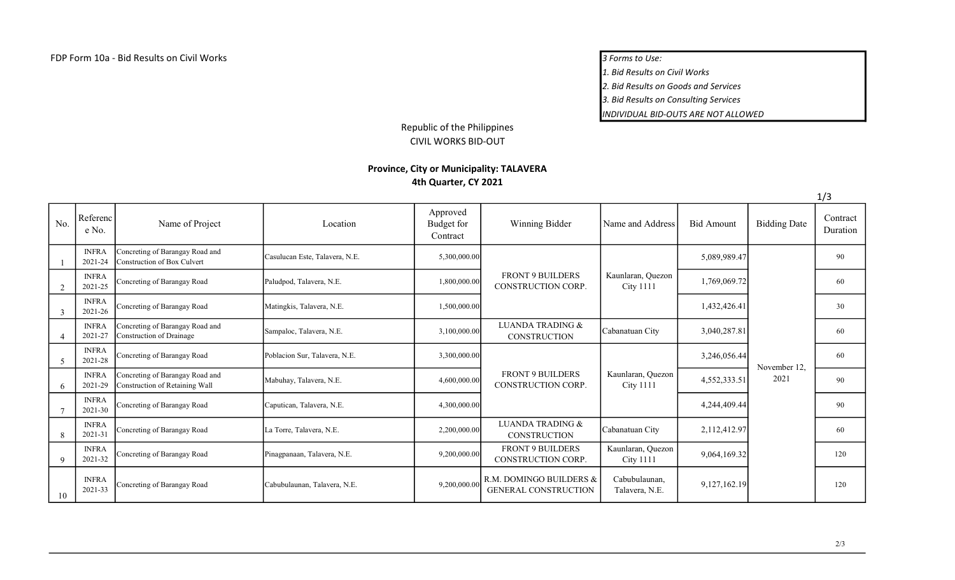1. Bid Results on Civil Works

2. Bid Results on Goods and Services

3. Bid Results on Consulting Services

INDIVIDUAL BID-OUTS ARE NOT ALLOWED

## Republic of the Philippines CIVIL WORKS BID-OUT

## Province, City or Municipality: TALAVERA 4th Quarter, CY 2021

|                          |                         |                                                                   |                                |                                    |                                                        |                                       |                   |                      | 1/3                  |
|--------------------------|-------------------------|-------------------------------------------------------------------|--------------------------------|------------------------------------|--------------------------------------------------------|---------------------------------------|-------------------|----------------------|----------------------|
| No.                      | Referenc<br>e No.       | Name of Project                                                   | Location                       | Approved<br>Budget for<br>Contract | Winning Bidder                                         | Name and Address                      | <b>Bid Amount</b> | <b>Bidding Date</b>  | Contract<br>Duration |
|                          | <b>INFRA</b><br>2021-24 | Concreting of Barangay Road and<br>Construction of Box Culvert    | Casulucan Este, Talavera, N.E. | 5,300,000.00                       |                                                        |                                       | 5,089,989.47      |                      | 90                   |
| 2                        | <b>INFRA</b><br>2021-25 | Concreting of Barangay Road                                       | Paludpod, Talavera, N.E.       | 1,800,000.00                       | <b>FRONT 9 BUILDERS</b><br>CONSTRUCTION CORP.          | Kaunlaran, Quezon<br><b>City 1111</b> | 1,769,069.72      |                      | 60                   |
| 3                        | <b>INFRA</b><br>2021-26 | Concreting of Barangay Road                                       | Matingkis, Talavera, N.E.      | 1,500,000.00                       |                                                        |                                       | 1,432,426.41      |                      | 30                   |
|                          | <b>INFRA</b><br>2021-27 | Concreting of Barangay Road and<br>Construction of Drainage       | Sampaloc, Talavera, N.E.       | 3,100,000.00                       | <b>LUANDA TRADING &amp;</b><br><b>CONSTRUCTION</b>     | Cabanatuan City                       | 3,040,287.81      |                      | 60                   |
| $\overline{\mathcal{L}}$ | <b>INFRA</b><br>2021-28 | Concreting of Barangay Road                                       | Poblacion Sur, Talavera, N.E.  | 3,300,000.00                       |                                                        |                                       | 3,246,056.44      | November 12,<br>2021 | 60                   |
| 6                        | <b>INFRA</b><br>2021-29 | Concreting of Barangay Road and<br>Construction of Retaining Wall | Mabuhay, Talavera, N.E.        | 4,600,000.00                       | <b>FRONT 9 BUILDERS</b><br>CONSTRUCTION CORP.          | Kaunlaran, Quezon<br><b>City 1111</b> | 4,552,333.51      |                      | 90                   |
|                          | <b>INFRA</b><br>2021-30 | Concreting of Barangay Road                                       | Caputican, Talavera, N.E.      | 4,300,000.00                       |                                                        |                                       | 4,244,409.44      |                      | 90                   |
| 8                        | <b>INFRA</b><br>2021-31 | Concreting of Barangay Road                                       | La Torre, Talavera, N.E.       | 2,200,000.00                       | <b>LUANDA TRADING &amp;</b><br><b>CONSTRUCTION</b>     | Cabanatuan City                       | 2,112,412.97      |                      | 60                   |
| 9                        | <b>INFRA</b><br>2021-32 | Concreting of Barangay Road                                       | Pinagpanaan, Talavera, N.E.    | 9,200,000.00                       | <b>FRONT 9 BUILDERS</b><br>CONSTRUCTION CORP.          | Kaunlaran, Quezon<br><b>City 1111</b> | 9,064,169.32      |                      | 120                  |
| 10                       | <b>INFRA</b><br>2021-33 | Concreting of Barangay Road                                       | Cabubulaunan, Talavera, N.E.   | 9,200,000.00                       | R.M. DOMINGO BUILDERS &<br><b>GENERAL CONSTRUCTION</b> | Cabubulaunan,<br>Talavera, N.E.       | 9,127,162.19      |                      | 120                  |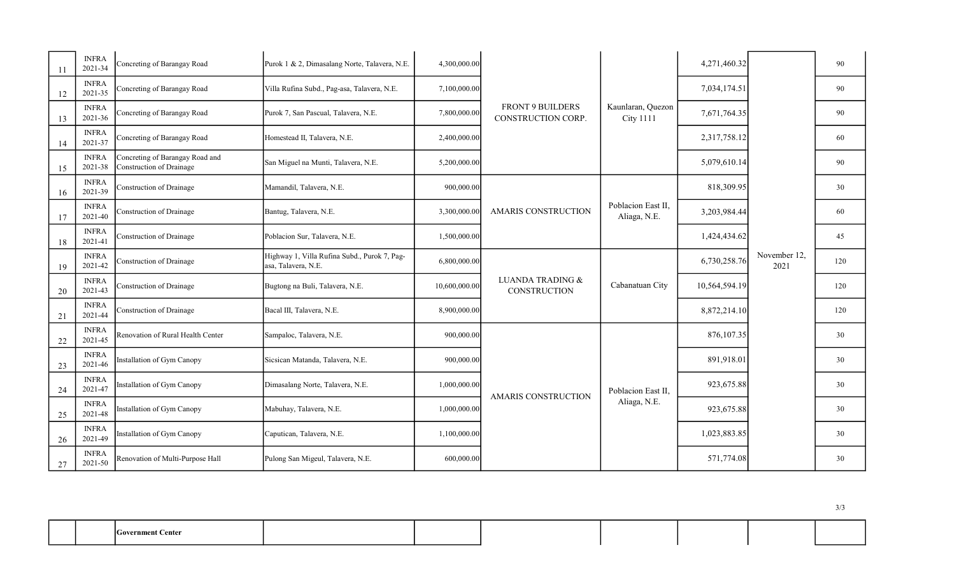| 11 | <b>INFRA</b><br>2021-34 | Concreting of Barangay Road                                 | Purok 1 & 2, Dimasalang Norte, Talavera, N.E.                       | 4,300,000.00  |                                                                  |                                       | 4,271,460.32  |                      | 90  |
|----|-------------------------|-------------------------------------------------------------|---------------------------------------------------------------------|---------------|------------------------------------------------------------------|---------------------------------------|---------------|----------------------|-----|
| 12 | <b>INFRA</b><br>2021-35 | Concreting of Barangay Road                                 | Villa Rufina Subd., Pag-asa, Talavera, N.E.                         | 7,100,000.00  |                                                                  |                                       | 7,034,174.51  |                      | 90  |
| 13 | <b>INFRA</b><br>2021-36 | Concreting of Barangay Road                                 | Purok 7, San Pascual, Talavera, N.E.                                | 7,800,000.00  | <b>FRONT 9 BUILDERS</b><br>CONSTRUCTION CORP.                    | Kaunlaran, Quezon<br><b>City 1111</b> | 7,671,764.35  |                      | 90  |
| 14 | <b>INFRA</b><br>2021-37 | Concreting of Barangay Road                                 | Homestead II, Talavera, N.E.                                        | 2,400,000.00  |                                                                  |                                       | 2,317,758.12  |                      | 60  |
| 15 | <b>INFRA</b><br>2021-38 | Concreting of Barangay Road and<br>Construction of Drainage | San Miguel na Munti, Talavera, N.E.                                 | 5,200,000.00  |                                                                  |                                       | 5,079,610.14  |                      | 90  |
| 16 | <b>INFRA</b><br>2021-39 | Construction of Drainage                                    | Mamandil, Talavera, N.E.                                            | 900,000.00    | Poblacion East II,<br><b>AMARIS CONSTRUCTION</b><br>Aliaga, N.E. | 818,309.95                            |               | 30                   |     |
| 17 | <b>INFRA</b><br>2021-40 | Construction of Drainage                                    | Bantug, Talavera, N.E.                                              | 3,300,000.00  |                                                                  |                                       | 3,203,984.44  | November 12,<br>2021 | 60  |
| 18 | <b>INFRA</b><br>2021-41 | Construction of Drainage                                    | Poblacion Sur, Talavera, N.E.                                       | 1,500,000.00  |                                                                  |                                       | 1,424,434.62  |                      | 45  |
| 19 | <b>INFRA</b><br>2021-42 | Construction of Drainage                                    | Highway 1, Villa Rufina Subd., Purok 7, Pag-<br>asa, Talavera, N.E. | 6,800,000.00  | <b>LUANDA TRADING &amp;</b><br><b>CONSTRUCTION</b>               | Cabanatuan City                       | 6,730,258.76  |                      | 120 |
| 20 | <b>INFRA</b><br>2021-43 | Construction of Drainage                                    | Bugtong na Buli, Talavera, N.E.                                     | 10,600,000.00 |                                                                  |                                       | 10,564,594.19 |                      | 120 |
| 21 | <b>INFRA</b><br>2021-44 | Construction of Drainage                                    | Bacal III, Talavera, N.E.                                           | 8,900,000.00  |                                                                  |                                       | 8,872,214.10  |                      | 120 |
| 22 | <b>INFRA</b><br>2021-45 | Renovation of Rural Health Center                           | Sampaloc, Talavera, N.E.                                            | 900,000.00    |                                                                  |                                       | 876,107.35    |                      | 30  |
| 23 | <b>INFRA</b><br>2021-46 | Installation of Gym Canopy                                  | Sicsican Matanda, Talavera, N.E.                                    | 900,000.00    |                                                                  | Poblacion East II,<br>Aliaga, N.E.    | 891,918.01    |                      | 30  |
| 24 | <b>INFRA</b><br>2021-47 | Installation of Gym Canopy                                  | Dimasalang Norte, Talavera, N.E.                                    | 1,000,000.00  | <b>AMARIS CONSTRUCTION</b>                                       |                                       | 923,675.88    |                      | 30  |
| 25 | <b>INFRA</b><br>2021-48 | Installation of Gym Canopy                                  | Mabuhay, Talavera, N.E.                                             | 1,000,000.00  |                                                                  |                                       | 923,675.88    |                      | 30  |
| 26 | <b>INFRA</b><br>2021-49 | Installation of Gym Canopy                                  | Caputican, Talavera, N.E.                                           | 1,100,000.00  |                                                                  |                                       | 1,023,883.85  |                      | 30  |
| 27 | <b>INFRA</b><br>2021-50 | Renovation of Multi-Purpose Hall                            | Pulong San Migeul, Talavera, N.E.                                   | 600,000.00    |                                                                  |                                       | 571,774.08    |                      | 30  |